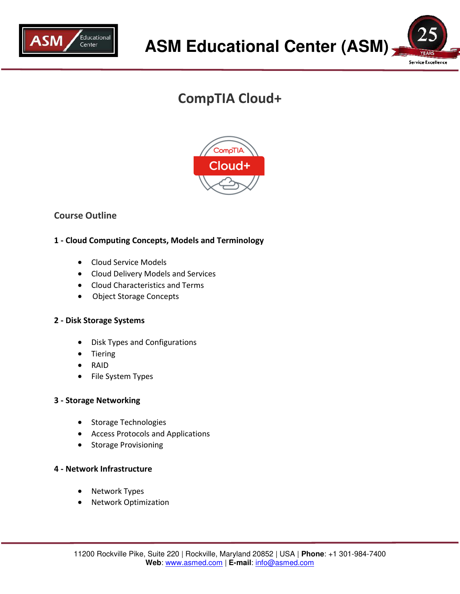



# **CompTIA Cloud+**



## **Course Outline**

## **1 - Cloud Computing Concepts, Models and Terminology**

- Cloud Service Models
- Cloud Delivery Models and Services
- Cloud Characteristics and Terms
- Object Storage Concepts

## **2 - Disk Storage Systems**

- Disk Types and Configurations
- Tiering
- RAID
- File System Types

## **3 - Storage Networking**

- Storage Technologies
- Access Protocols and Applications
- Storage Provisioning

## **4 - Network Infrastructure**

- Network Types
- Network Optimization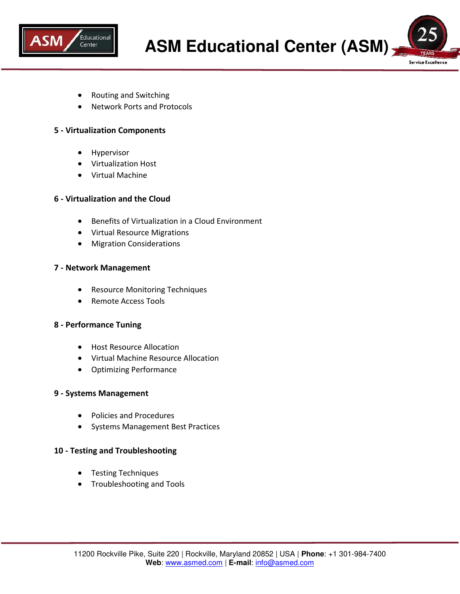

Service Excellence

- Routing and Switching
- Network Ports and Protocols

#### **5 - Virtualization Components**

- Hypervisor
- Virtualization Host
- Virtual Machine

#### **6 - Virtualization and the Cloud**

- Benefits of Virtualization in a Cloud Environment
- Virtual Resource Migrations
- Migration Considerations

#### **7 - Network Management**

- Resource Monitoring Techniques
- Remote Access Tools

#### **8 - Performance Tuning**

- Host Resource Allocation
- Virtual Machine Resource Allocation
- Optimizing Performance

#### **9 - Systems Management**

- Policies and Procedures
- Systems Management Best Practices

#### **10 - Testing and Troubleshooting**

- **•** Testing Techniques
- **•** Troubleshooting and Tools